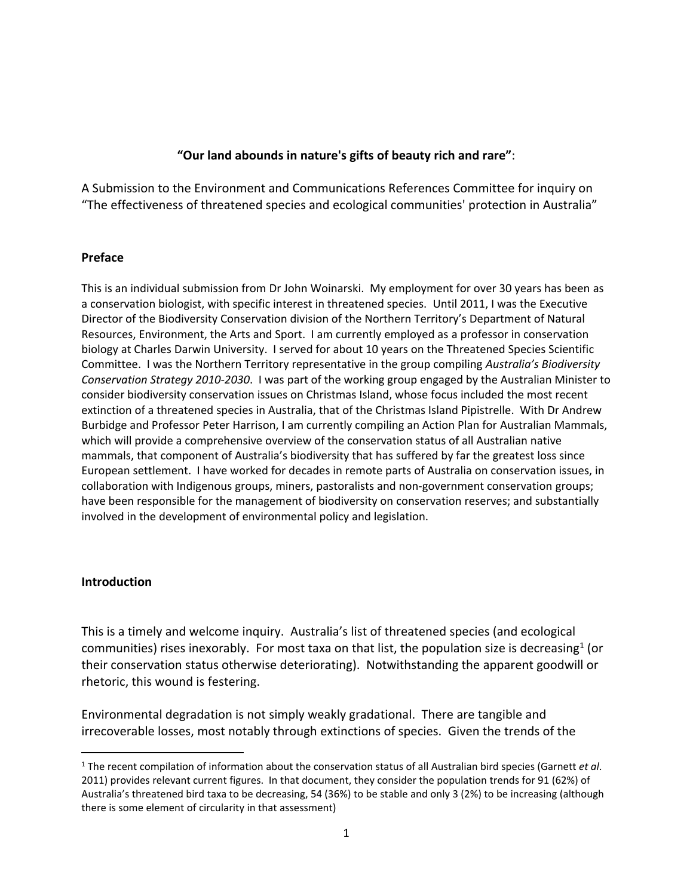### **"Our land abounds in nature's gifts of beauty rich and rare"**:

A Submission to the Environment and Communications References Committee for inquiry on "The effectiveness of threatened species and ecological communities' protection in Australia"

#### **Preface**

This is an individual submission from Dr John Woinarski. My employment for over 30 years has been as a conservation biologist, with specific interest in threatened species. Until 2011, I was the Executive Director of the Biodiversity Conservation division of the Northern Territory's Department of Natural Resources, Environment, the Arts and Sport. I am currently employed as a professor in conservation biology at Charles Darwin University. I served for about 10 years on the Threatened Species Scientific Committee. I was the Northern Territory representative in the group compiling *Australia's Biodiversity Conservation Strategy 2010-2030*. I was part of the working group engaged by the Australian Minister to consider biodiversity conservation issues on Christmas Island, whose focus included the most recent extinction of a threatened species in Australia, that of the Christmas Island Pipistrelle. With Dr Andrew Burbidge and Professor Peter Harrison, I am currently compiling an Action Plan for Australian Mammals, which will provide a comprehensive overview of the conservation status of all Australian native mammals, that component of Australia's biodiversity that has suffered by far the greatest loss since European settlement. I have worked for decades in remote parts of Australia on conservation issues, in collaboration with Indigenous groups, miners, pastoralists and non-government conservation groups; have been responsible for the management of biodiversity on conservation reserves; and substantially involved in the development of environmental policy and legislation.

### **Introduction**

This is a timely and welcome inquiry. Australia's list of threatened species (and ecological communities) rises inexorably. For most taxa on that list, the population size is decreasing<sup>1</sup> (or their conservation status otherwise deteriorating). Notwithstanding the apparent goodwill or rhetoric, this wound is festering.

Environmental degradation is not simply weakly gradational. There are tangible and irrecoverable losses, most notably through extinctions of species. Given the trends of the

<sup>1</sup> The recent compilation of information about the conservation status of all Australian bird species (Garnett *et al*. 2011) provides relevant current figures. In that document, they consider the population trends for 91 (62%) of Australia's threatened bird taxa to be decreasing, 54 (36%) to be stable and only 3 (2%) to be increasing (although there is some element of circularity in that assessment)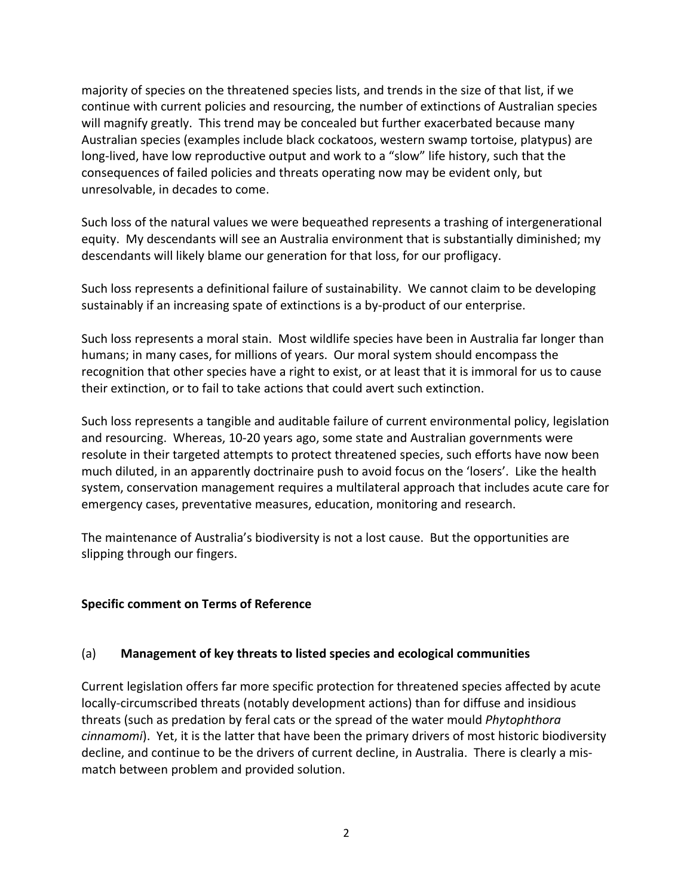majority of species on the threatened species lists, and trends in the size of that list, if we continue with current policies and resourcing, the number of extinctions of Australian species will magnify greatly. This trend may be concealed but further exacerbated because many Australian species (examples include black cockatoos, western swamp tortoise, platypus) are long-lived, have low reproductive output and work to a "slow" life history, such that the consequences of failed policies and threats operating now may be evident only, but unresolvable, in decades to come.

Such loss of the natural values we were bequeathed represents a trashing of intergenerational equity. My descendants will see an Australia environment that is substantially diminished; my descendants will likely blame our generation for that loss, for our profligacy.

Such loss represents a definitional failure of sustainability. We cannot claim to be developing sustainably if an increasing spate of extinctions is a by-product of our enterprise.

Such loss represents a moral stain. Most wildlife species have been in Australia far longer than humans; in many cases, for millions of years. Our moral system should encompass the recognition that other species have a right to exist, or at least that it is immoral for us to cause their extinction, or to fail to take actions that could avert such extinction.

Such loss represents a tangible and auditable failure of current environmental policy, legislation and resourcing. Whereas, 10-20 years ago, some state and Australian governments were resolute in their targeted attempts to protect threatened species, such efforts have now been much diluted, in an apparently doctrinaire push to avoid focus on the 'losers'. Like the health system, conservation management requires a multilateral approach that includes acute care for emergency cases, preventative measures, education, monitoring and research.

The maintenance of Australia's biodiversity is not a lost cause. But the opportunities are slipping through our fingers.

## **Specific comment on Terms of Reference**

## (a) **Management of key threats to listed species and ecological communities**

Current legislation offers far more specific protection for threatened species affected by acute locally-circumscribed threats (notably development actions) than for diffuse and insidious threats (such as predation by feral cats or the spread of the water mould *Phytophthora cinnamomi*). Yet, it is the latter that have been the primary drivers of most historic biodiversity decline, and continue to be the drivers of current decline, in Australia. There is clearly a mismatch between problem and provided solution.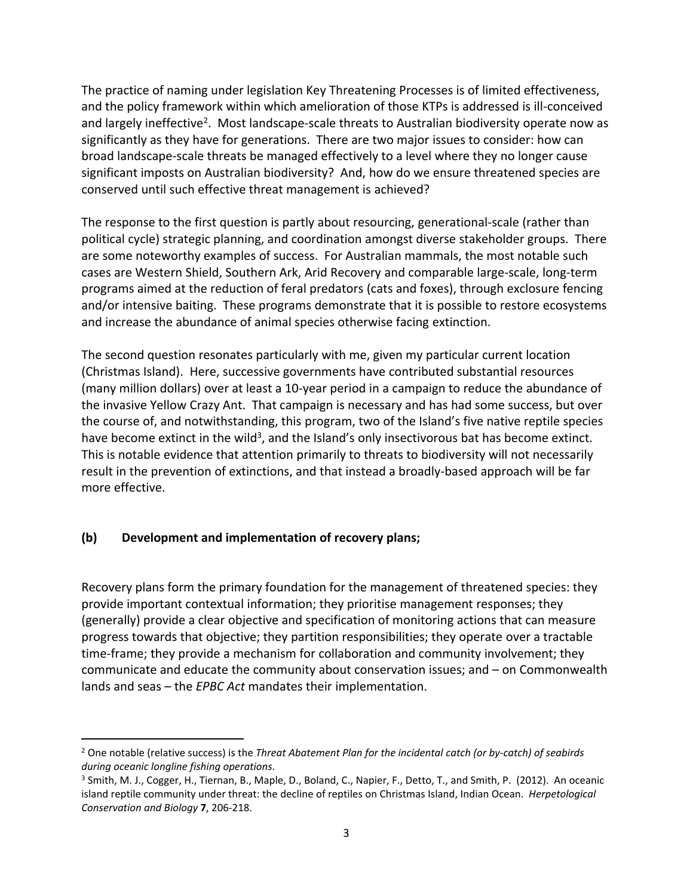The practice of naming under legislation Key Threatening Processes is of limited effectiveness, and the policy framework within which amelioration of those KTPs is addressed is ill-conceived and largely ineffective<sup>2</sup>. Most landscape-scale threats to Australian biodiversity operate now as significantly as they have for generations. There are two major issues to consider: how can broad landscape-scale threats be managed effectively to a level where they no longer cause significant imposts on Australian biodiversity? And, how do we ensure threatened species are conserved until such effective threat management is achieved?

The response to the first question is partly about resourcing, generational-scale (rather than political cycle) strategic planning, and coordination amongst diverse stakeholder groups. There are some noteworthy examples of success. For Australian mammals, the most notable such cases are Western Shield, Southern Ark, Arid Recovery and comparable large-scale, long-term programs aimed at the reduction of feral predators (cats and foxes), through exclosure fencing and/or intensive baiting. These programs demonstrate that it is possible to restore ecosystems and increase the abundance of animal species otherwise facing extinction.

The second question resonates particularly with me, given my particular current location (Christmas Island). Here, successive governments have contributed substantial resources (many million dollars) over at least a 10-year period in a campaign to reduce the abundance of the invasive Yellow Crazy Ant. That campaign is necessary and has had some success, but over the course of, and notwithstanding, this program, two of the Island's five native reptile species have become extinct in the wild<sup>3</sup>, and the Island's only insectivorous bat has become extinct. This is notable evidence that attention primarily to threats to biodiversity will not necessarily result in the prevention of extinctions, and that instead a broadly-based approach will be far more effective.

## **(b) Development and implementation of recovery plans;**

Recovery plans form the primary foundation for the management of threatened species: they provide important contextual information; they prioritise management responses; they (generally) provide a clear objective and specification of monitoring actions that can measure progress towards that objective; they partition responsibilities; they operate over a tractable time-frame; they provide a mechanism for collaboration and community involvement; they communicate and educate the community about conservation issues; and – on Commonwealth lands and seas – the *EPBC Act* mandates their implementation.

<sup>2</sup> One notable (relative success) is the *Threat Abatement Plan for the incidental catch (or by-catch) of seabirds during oceanic longline fishing operations*.

<sup>&</sup>lt;sup>3</sup> Smith, M. J., Cogger, H., Tiernan, B., Maple, D., Boland, C., Napier, F., Detto, T., and Smith, P. (2012). An oceanic island reptile community under threat: the decline of reptiles on Christmas Island, Indian Ocean. *Herpetological Conservation and Biology* **7**, 206-218.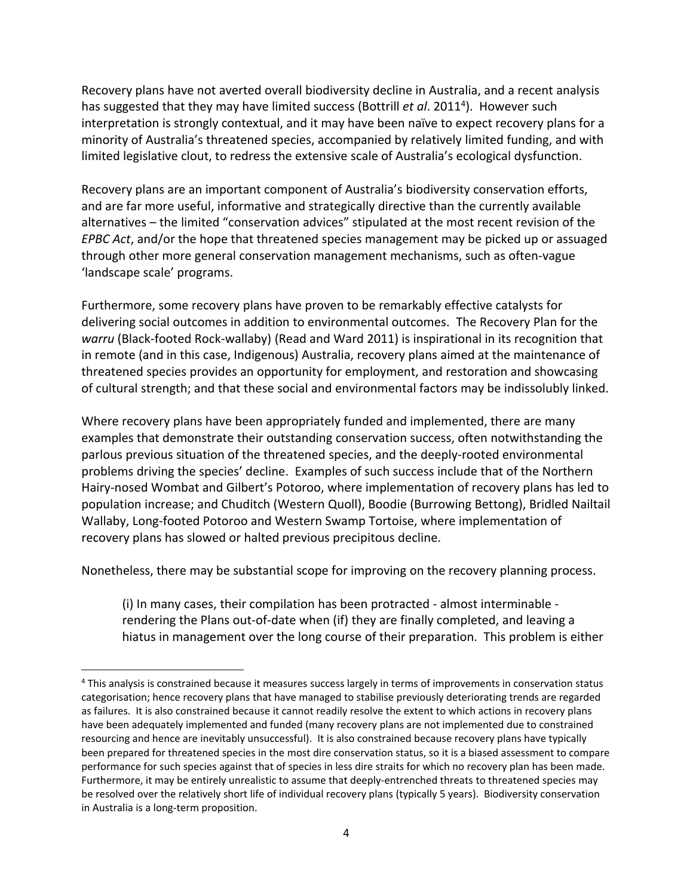Recovery plans have not averted overall biodiversity decline in Australia, and a recent analysis has suggested that they may have limited success (Bottrill *et al*. 2011<sup>4</sup> ). However such interpretation is strongly contextual, and it may have been naïve to expect recovery plans for a minority of Australia's threatened species, accompanied by relatively limited funding, and with limited legislative clout, to redress the extensive scale of Australia's ecological dysfunction.

Recovery plans are an important component of Australia's biodiversity conservation efforts, and are far more useful, informative and strategically directive than the currently available alternatives – the limited "conservation advices" stipulated at the most recent revision of the *EPBC Act*, and/or the hope that threatened species management may be picked up or assuaged through other more general conservation management mechanisms, such as often-vague 'landscape scale' programs.

Furthermore, some recovery plans have proven to be remarkably effective catalysts for delivering social outcomes in addition to environmental outcomes. The Recovery Plan for the *warru* (Black-footed Rock-wallaby) (Read and Ward 2011) is inspirational in its recognition that in remote (and in this case, Indigenous) Australia, recovery plans aimed at the maintenance of threatened species provides an opportunity for employment, and restoration and showcasing of cultural strength; and that these social and environmental factors may be indissolubly linked.

Where recovery plans have been appropriately funded and implemented, there are many examples that demonstrate their outstanding conservation success, often notwithstanding the parlous previous situation of the threatened species, and the deeply-rooted environmental problems driving the species' decline. Examples of such success include that of the Northern Hairy-nosed Wombat and Gilbert's Potoroo, where implementation of recovery plans has led to population increase; and Chuditch (Western Quoll), Boodie (Burrowing Bettong), Bridled Nailtail Wallaby, Long-footed Potoroo and Western Swamp Tortoise, where implementation of recovery plans has slowed or halted previous precipitous decline.

Nonetheless, there may be substantial scope for improving on the recovery planning process.

(i) In many cases, their compilation has been protracted - almost interminable rendering the Plans out-of-date when (if) they are finally completed, and leaving a hiatus in management over the long course of their preparation. This problem is either

<sup>4</sup> This analysis is constrained because it measures success largely in terms of improvements in conservation status categorisation; hence recovery plans that have managed to stabilise previously deteriorating trends are regarded as failures. It is also constrained because it cannot readily resolve the extent to which actions in recovery plans have been adequately implemented and funded (many recovery plans are not implemented due to constrained resourcing and hence are inevitably unsuccessful). It is also constrained because recovery plans have typically been prepared for threatened species in the most dire conservation status, so it is a biased assessment to compare performance for such species against that of species in less dire straits for which no recovery plan has been made. Furthermore, it may be entirely unrealistic to assume that deeply-entrenched threats to threatened species may be resolved over the relatively short life of individual recovery plans (typically 5 years). Biodiversity conservation in Australia is a long-term proposition.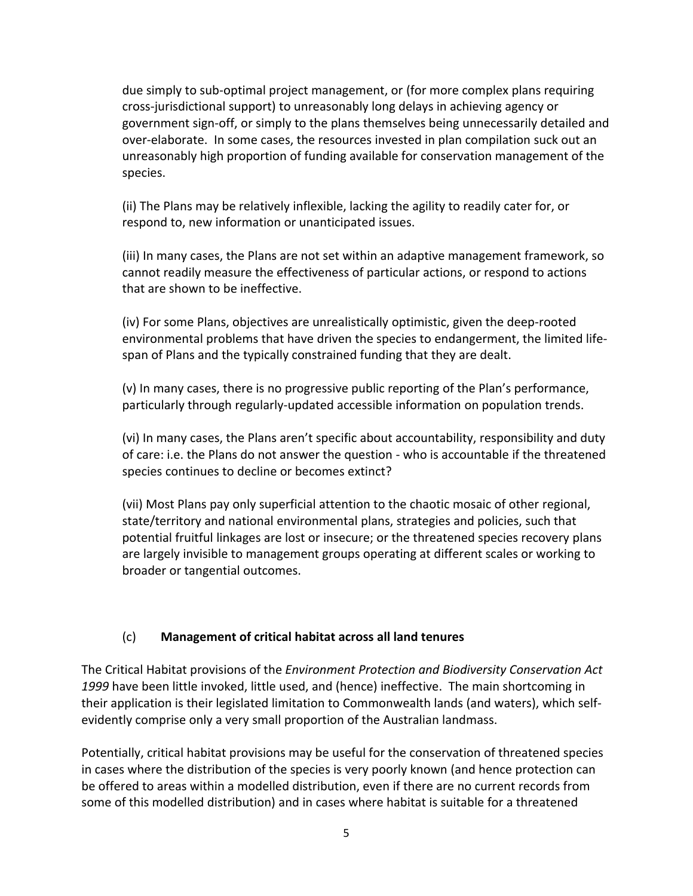due simply to sub-optimal project management, or (for more complex plans requiring cross-jurisdictional support) to unreasonably long delays in achieving agency or government sign-off, or simply to the plans themselves being unnecessarily detailed and over-elaborate. In some cases, the resources invested in plan compilation suck out an unreasonably high proportion of funding available for conservation management of the species.

(ii) The Plans may be relatively inflexible, lacking the agility to readily cater for, or respond to, new information or unanticipated issues.

(iii) In many cases, the Plans are not set within an adaptive management framework, so cannot readily measure the effectiveness of particular actions, or respond to actions that are shown to be ineffective.

(iv) For some Plans, objectives are unrealistically optimistic, given the deep-rooted environmental problems that have driven the species to endangerment, the limited lifespan of Plans and the typically constrained funding that they are dealt.

(v) In many cases, there is no progressive public reporting of the Plan's performance, particularly through regularly-updated accessible information on population trends.

(vi) In many cases, the Plans aren't specific about accountability, responsibility and duty of care: i.e. the Plans do not answer the question - who is accountable if the threatened species continues to decline or becomes extinct?

(vii) Most Plans pay only superficial attention to the chaotic mosaic of other regional, state/territory and national environmental plans, strategies and policies, such that potential fruitful linkages are lost or insecure; or the threatened species recovery plans are largely invisible to management groups operating at different scales or working to broader or tangential outcomes.

## (c) **Management of critical habitat across all land tenures**

The Critical Habitat provisions of the *Environment Protection and Biodiversity Conservation Act 1999* have been little invoked, little used, and (hence) ineffective. The main shortcoming in their application is their legislated limitation to Commonwealth lands (and waters), which selfevidently comprise only a very small proportion of the Australian landmass.

Potentially, critical habitat provisions may be useful for the conservation of threatened species in cases where the distribution of the species is very poorly known (and hence protection can be offered to areas within a modelled distribution, even if there are no current records from some of this modelled distribution) and in cases where habitat is suitable for a threatened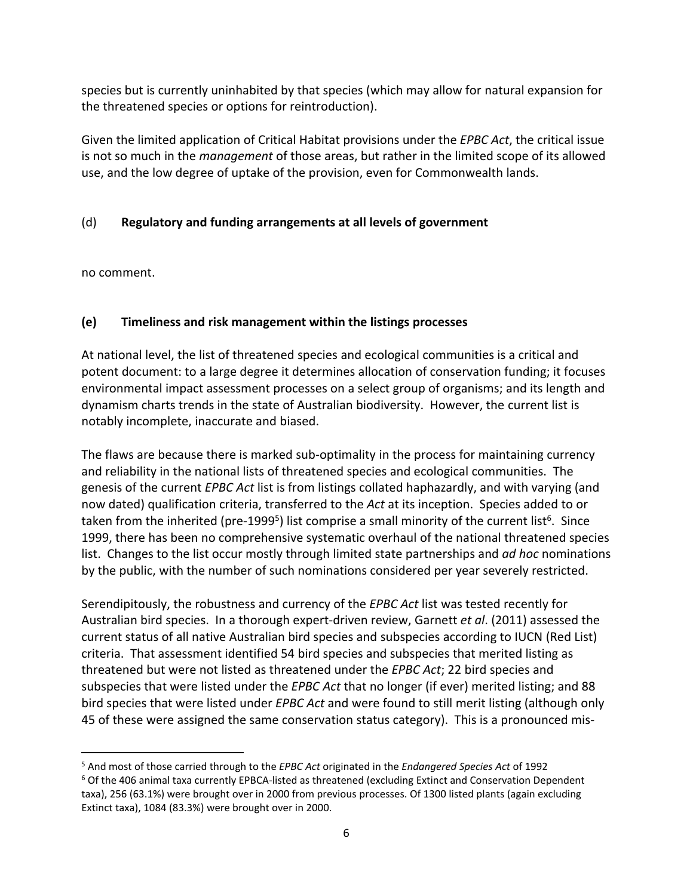species but is currently uninhabited by that species (which may allow for natural expansion for the threatened species or options for reintroduction).

Given the limited application of Critical Habitat provisions under the *EPBC Act*, the critical issue is not so much in the *management* of those areas, but rather in the limited scope of its allowed use, and the low degree of uptake of the provision, even for Commonwealth lands.

# (d) **Regulatory and funding arrangements at all levels of government**

no comment.

## **(e) Timeliness and risk management within the listings processes**

At national level, the list of threatened species and ecological communities is a critical and potent document: to a large degree it determines allocation of conservation funding; it focuses environmental impact assessment processes on a select group of organisms; and its length and dynamism charts trends in the state of Australian biodiversity. However, the current list is notably incomplete, inaccurate and biased.

The flaws are because there is marked sub-optimality in the process for maintaining currency and reliability in the national lists of threatened species and ecological communities. The genesis of the current *EPBC Act* list is from listings collated haphazardly, and with varying (and now dated) qualification criteria, transferred to the *Act* at its inception. Species added to or taken from the inherited (pre-1999<sup>5</sup>) list comprise a small minority of the current list<sup>6</sup>. Since 1999, there has been no comprehensive systematic overhaul of the national threatened species list. Changes to the list occur mostly through limited state partnerships and *ad hoc* nominations by the public, with the number of such nominations considered per year severely restricted.

Serendipitously, the robustness and currency of the *EPBC Act* list was tested recently for Australian bird species. In a thorough expert-driven review, Garnett *et al*. (2011) assessed the current status of all native Australian bird species and subspecies according to IUCN (Red List) criteria. That assessment identified 54 bird species and subspecies that merited listing as threatened but were not listed as threatened under the *EPBC Act*; 22 bird species and subspecies that were listed under the *EPBC Act* that no longer (if ever) merited listing; and 88 bird species that were listed under *EPBC Act* and were found to still merit listing (although only 45 of these were assigned the same conservation status category). This is a pronounced mis-

<sup>5</sup> And most of those carried through to the *EPBC Act* originated in the *Endangered Species Act* of 1992 <sup>6</sup> Of the 406 animal taxa currently EPBCA-listed as threatened (excluding Extinct and Conservation Dependent taxa), 256 (63.1%) were brought over in 2000 from previous processes. Of 1300 listed plants (again excluding Extinct taxa), 1084 (83.3%) were brought over in 2000.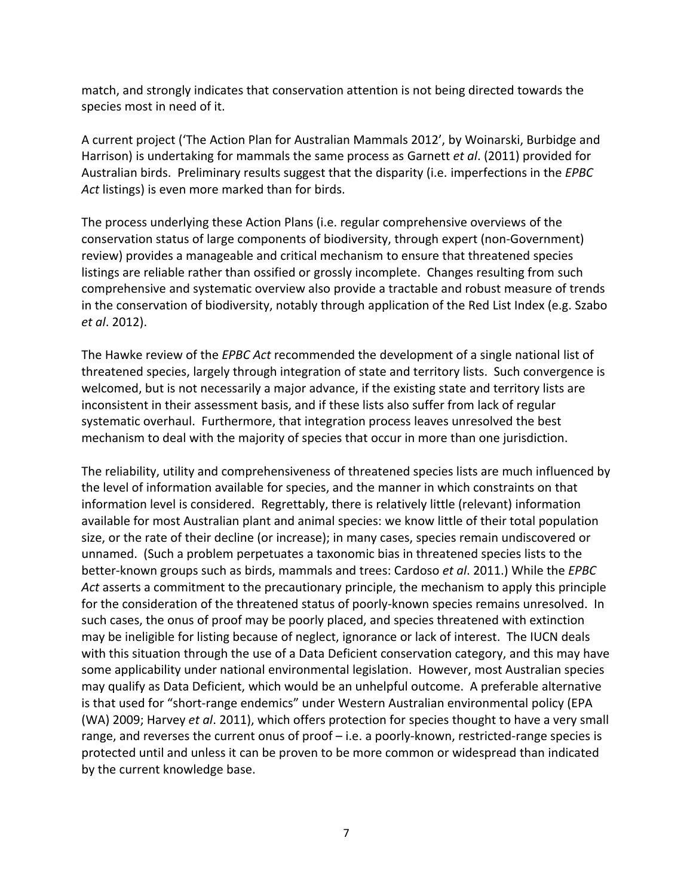match, and strongly indicates that conservation attention is not being directed towards the species most in need of it.

A current project ('The Action Plan for Australian Mammals 2012', by Woinarski, Burbidge and Harrison) is undertaking for mammals the same process as Garnett *et al*. (2011) provided for Australian birds. Preliminary results suggest that the disparity (i.e. imperfections in the *EPBC Act* listings) is even more marked than for birds.

The process underlying these Action Plans (i.e. regular comprehensive overviews of the conservation status of large components of biodiversity, through expert (non-Government) review) provides a manageable and critical mechanism to ensure that threatened species listings are reliable rather than ossified or grossly incomplete. Changes resulting from such comprehensive and systematic overview also provide a tractable and robust measure of trends in the conservation of biodiversity, notably through application of the Red List Index (e.g. Szabo *et al*. 2012).

The Hawke review of the *EPBC Act* recommended the development of a single national list of threatened species, largely through integration of state and territory lists. Such convergence is welcomed, but is not necessarily a major advance, if the existing state and territory lists are inconsistent in their assessment basis, and if these lists also suffer from lack of regular systematic overhaul. Furthermore, that integration process leaves unresolved the best mechanism to deal with the majority of species that occur in more than one jurisdiction.

The reliability, utility and comprehensiveness of threatened species lists are much influenced by the level of information available for species, and the manner in which constraints on that information level is considered. Regrettably, there is relatively little (relevant) information available for most Australian plant and animal species: we know little of their total population size, or the rate of their decline (or increase); in many cases, species remain undiscovered or unnamed. (Such a problem perpetuates a taxonomic bias in threatened species lists to the better-known groups such as birds, mammals and trees: Cardoso *et al*. 2011.) While the *EPBC Act* asserts a commitment to the precautionary principle, the mechanism to apply this principle for the consideration of the threatened status of poorly-known species remains unresolved. In such cases, the onus of proof may be poorly placed, and species threatened with extinction may be ineligible for listing because of neglect, ignorance or lack of interest. The IUCN deals with this situation through the use of a Data Deficient conservation category, and this may have some applicability under national environmental legislation. However, most Australian species may qualify as Data Deficient, which would be an unhelpful outcome. A preferable alternative is that used for "short-range endemics" under Western Australian environmental policy (EPA (WA) 2009; Harvey *et al*. 2011), which offers protection for species thought to have a very small range, and reverses the current onus of proof – i.e. a poorly-known, restricted-range species is protected until and unless it can be proven to be more common or widespread than indicated by the current knowledge base.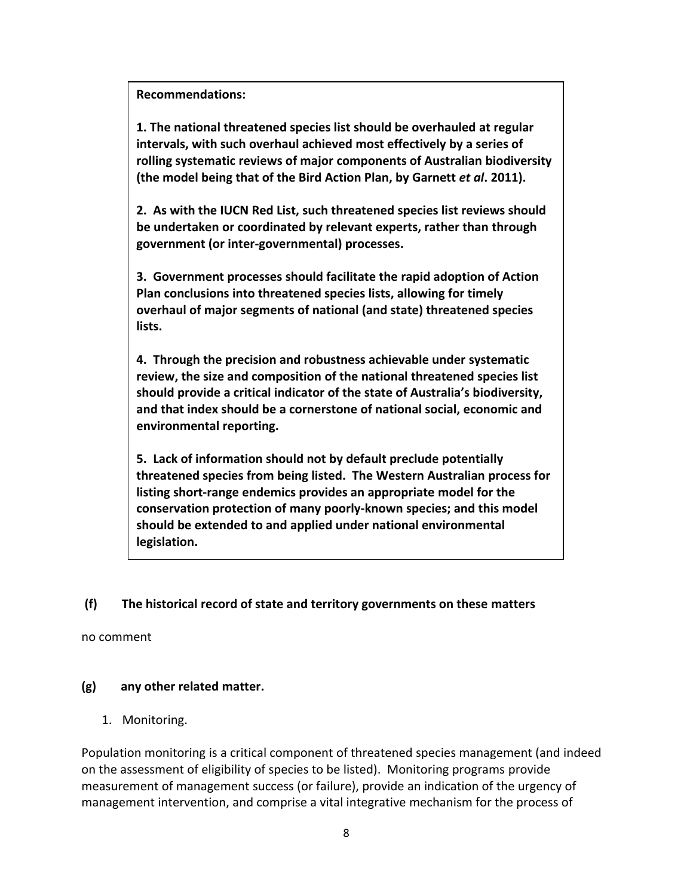### **Recommendations:**

**1. The national threatened species list should be overhauled at regular intervals, with such overhaul achieved most effectively by a series of rolling systematic reviews of major components of Australian biodiversity (the model being that of the Bird Action Plan, by Garnett** *et al***. 2011).**

**2. As with the IUCN Red List, such threatened species list reviews should be undertaken or coordinated by relevant experts, rather than through government (or inter-governmental) processes.**

**3. Government processes should facilitate the rapid adoption of Action Plan conclusions into threatened species lists, allowing for timely overhaul of major segments of national (and state) threatened species lists.**

**4. Through the precision and robustness achievable under systematic review, the size and composition of the national threatened species list should provide a critical indicator of the state of Australia's biodiversity, and that index should be a cornerstone of national social, economic and environmental reporting.**

**5. Lack of information should not by default preclude potentially threatened species from being listed. The Western Australian process for listing short-range endemics provides an appropriate model for the conservation protection of many poorly-known species; and this model should be extended to and applied under national environmental legislation.**

### **(f) The historical record of state and territory governments on these matters**

no comment

## **(g) any other related matter.**

1. Monitoring.

Population monitoring is a critical component of threatened species management (and indeed on the assessment of eligibility of species to be listed). Monitoring programs provide measurement of management success (or failure), provide an indication of the urgency of management intervention, and comprise a vital integrative mechanism for the process of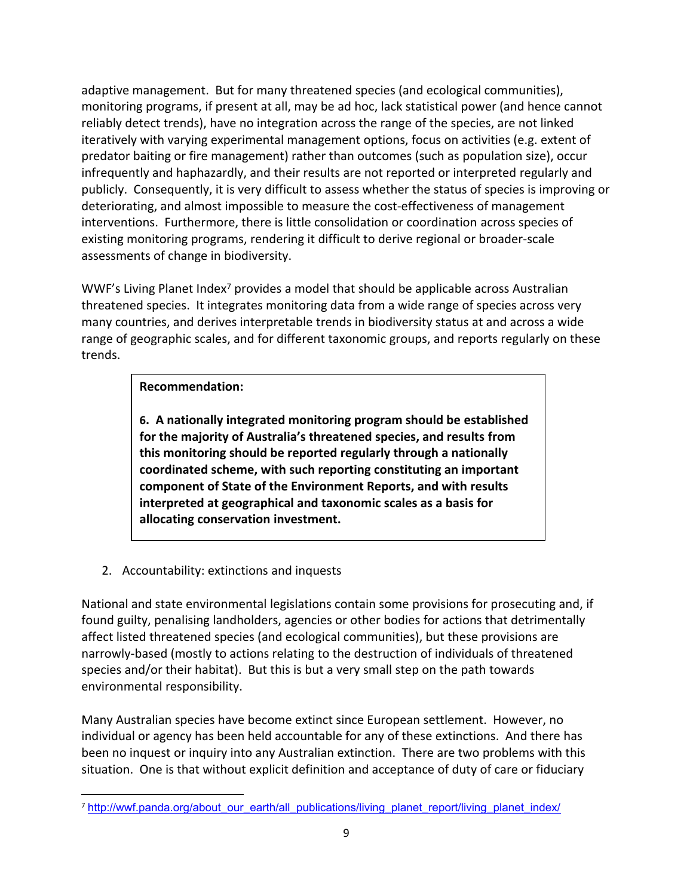

 $\mathsf{M}$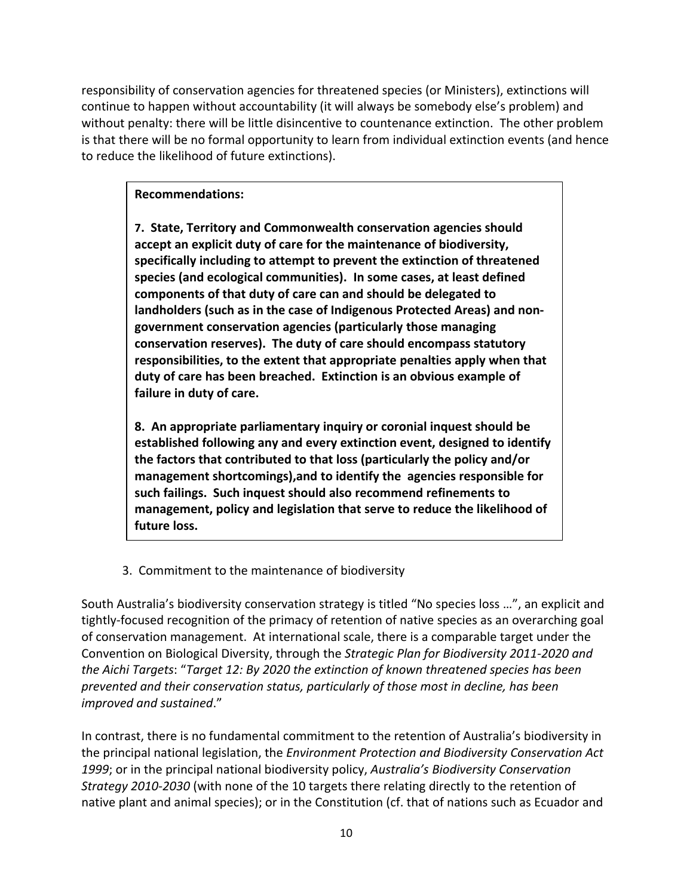responsibility of conservation agencies for threatened species (or Ministers), extinctions will continue to happen without accountability (it will always be somebody else's problem) and without penalty: there will be little disincentive to countenance extinction. The other problem is that there will be no formal opportunity to learn from individual extinction events (and hence to reduce the likelihood of future extinctions).

### **Recommendations:**

**7. State, Territory and Commonwealth conservation agencies should accept an explicit duty of care for the maintenance of biodiversity, specifically including to attempt to prevent the extinction of threatened species (and ecological communities). In some cases, at least defined components of that duty of care can and should be delegated to landholders (such as in the case of Indigenous Protected Areas) and nongovernment conservation agencies (particularly those managing conservation reserves). The duty of care should encompass statutory responsibilities, to the extent that appropriate penalties apply when that duty of care has been breached. Extinction is an obvious example of failure in duty of care.**

**8. An appropriate parliamentary inquiry or coronial inquest should be established following any and every extinction event, designed to identify the factors that contributed to that loss (particularly the policy and/or management shortcomings),and to identify the agencies responsible for such failings. Such inquest should also recommend refinements to management, policy and legislation that serve to reduce the likelihood of future loss.**

3. Commitment to the maintenance of biodiversity

South Australia's biodiversity conservation strategy is titled "No species loss …", an explicit and tightly-focused recognition of the primacy of retention of native species as an overarching goal of conservation management. At international scale, there is a comparable target under the Convention on Biological Diversity, through the *Strategic Plan for Biodiversity 2011-2020 and the Aichi Targets*: "*Target 12: By 2020 the extinction of known threatened species has been prevented and their conservation status, particularly of those most in decline, has been improved and sustained*."

In contrast, there is no fundamental commitment to the retention of Australia's biodiversity in the principal national legislation, the *Environment Protection and Biodiversity Conservation Act 1999*; or in the principal national biodiversity policy, *Australia's Biodiversity Conservation Strategy 2010-2030* (with none of the 10 targets there relating directly to the retention of native plant and animal species); or in the Constitution (cf. that of nations such as Ecuador and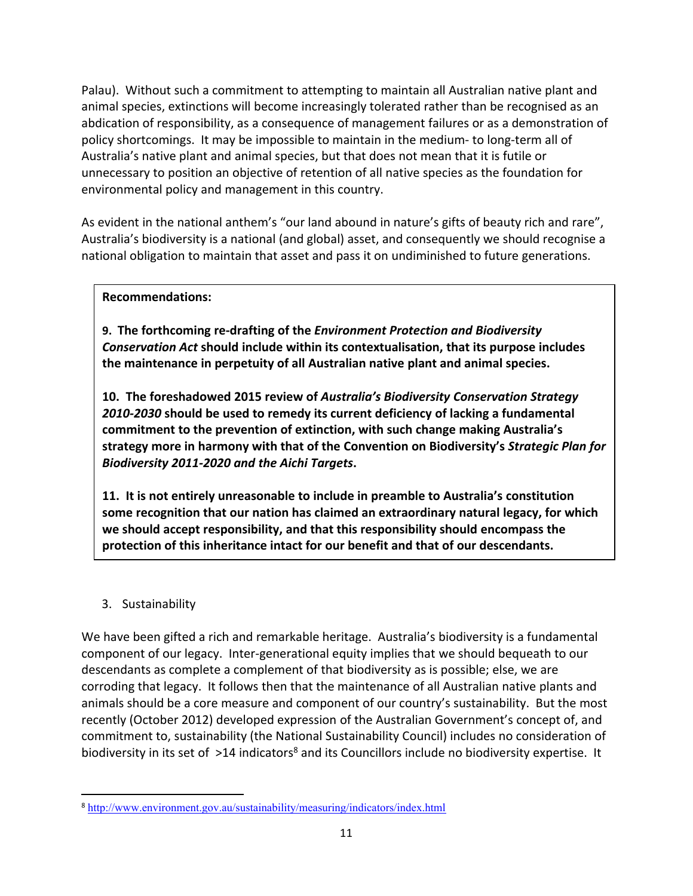



 $(8)$ 



 $\mathsf{J}$